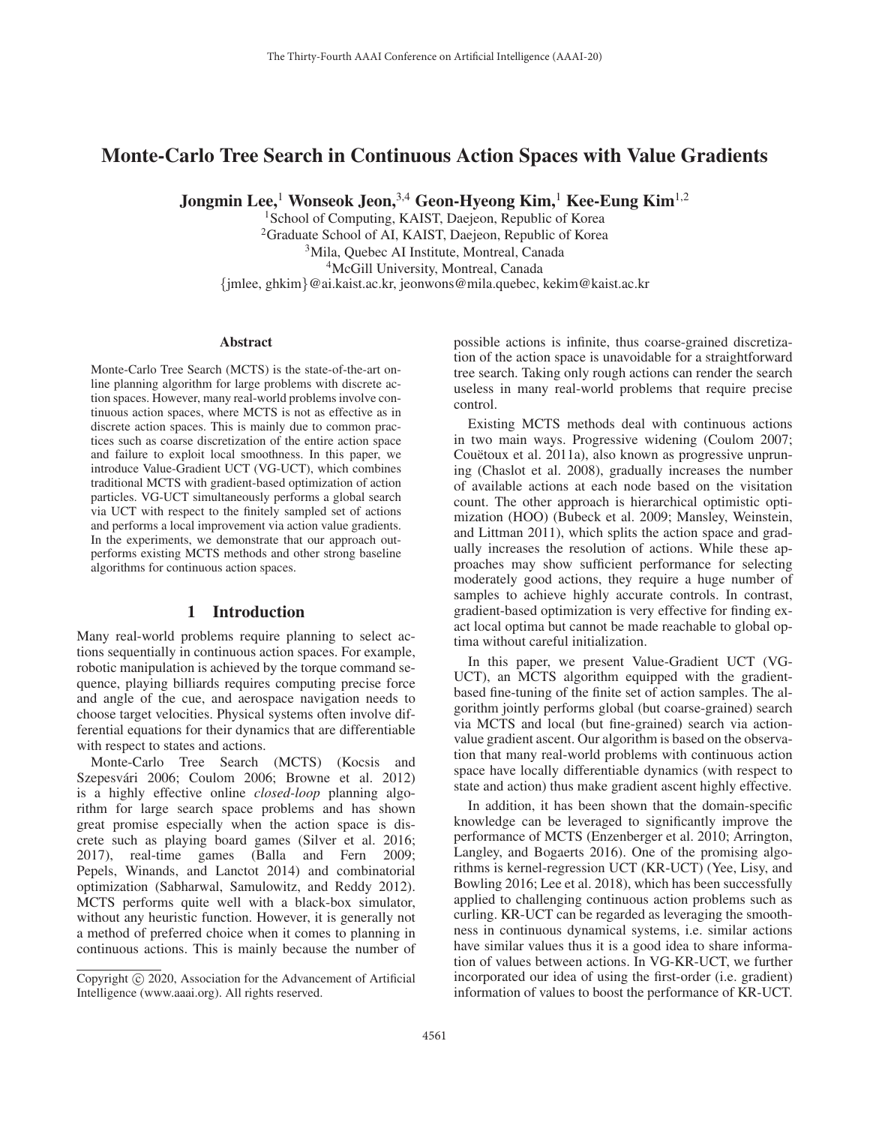# Monte-Carlo Tree Search in Continuous Action Spaces with Value Gradients

Jongmin Lee,<sup>1</sup> Wonseok Jeon,<sup>3,4</sup> Geon-Hyeong Kim,<sup>1</sup> Kee-Eung Kim<sup>1,2</sup>

<sup>1</sup>School of Computing, KAIST, Daejeon, Republic of Korea <sup>2</sup>Graduate School of AI, KAIST, Daejeon, Republic of Korea 3Mila, Quebec AI Institute, Montreal, Canada 4McGill University, Montreal, Canada {jmlee, ghkim}@ai.kaist.ac.kr, jeonwons@mila.quebec, kekim@kaist.ac.kr

### **Abstract**

Monte-Carlo Tree Search (MCTS) is the state-of-the-art online planning algorithm for large problems with discrete action spaces. However, many real-world problems involve continuous action spaces, where MCTS is not as effective as in discrete action spaces. This is mainly due to common practices such as coarse discretization of the entire action space and failure to exploit local smoothness. In this paper, we introduce Value-Gradient UCT (VG-UCT), which combines traditional MCTS with gradient-based optimization of action particles. VG-UCT simultaneously performs a global search via UCT with respect to the finitely sampled set of actions and performs a local improvement via action value gradients. In the experiments, we demonstrate that our approach outperforms existing MCTS methods and other strong baseline algorithms for continuous action spaces.

# 1 Introduction

Many real-world problems require planning to select actions sequentially in continuous action spaces. For example, robotic manipulation is achieved by the torque command sequence, playing billiards requires computing precise force and angle of the cue, and aerospace navigation needs to choose target velocities. Physical systems often involve differential equations for their dynamics that are differentiable with respect to states and actions.

Monte-Carlo Tree Search (MCTS) (Kocsis and Szepesvári 2006; Coulom 2006; Browne et al. 2012) is a highly effective online *closed-loop* planning algorithm for large search space problems and has shown great promise especially when the action space is discrete such as playing board games (Silver et al. 2016; 2017), real-time games (Balla and Fern 2009; Pepels, Winands, and Lanctot 2014) and combinatorial optimization (Sabharwal, Samulowitz, and Reddy 2012). MCTS performs quite well with a black-box simulator, without any heuristic function. However, it is generally not a method of preferred choice when it comes to planning in continuous actions. This is mainly because the number of

possible actions is infinite, thus coarse-grained discretization of the action space is unavoidable for a straightforward tree search. Taking only rough actions can render the search useless in many real-world problems that require precise control.

Existing MCTS methods deal with continuous actions in two main ways. Progressive widening (Coulom 2007; Couëtoux et al. 2011a), also known as progressive unpruning (Chaslot et al. 2008), gradually increases the number of available actions at each node based on the visitation count. The other approach is hierarchical optimistic optimization (HOO) (Bubeck et al. 2009; Mansley, Weinstein, and Littman 2011), which splits the action space and gradually increases the resolution of actions. While these approaches may show sufficient performance for selecting moderately good actions, they require a huge number of samples to achieve highly accurate controls. In contrast, gradient-based optimization is very effective for finding exact local optima but cannot be made reachable to global optima without careful initialization.

In this paper, we present Value-Gradient UCT (VG-UCT), an MCTS algorithm equipped with the gradientbased fine-tuning of the finite set of action samples. The algorithm jointly performs global (but coarse-grained) search via MCTS and local (but fine-grained) search via actionvalue gradient ascent. Our algorithm is based on the observation that many real-world problems with continuous action space have locally differentiable dynamics (with respect to state and action) thus make gradient ascent highly effective.

In addition, it has been shown that the domain-specific knowledge can be leveraged to significantly improve the performance of MCTS (Enzenberger et al. 2010; Arrington, Langley, and Bogaerts 2016). One of the promising algorithms is kernel-regression UCT (KR-UCT) (Yee, Lisy, and Bowling 2016; Lee et al. 2018), which has been successfully applied to challenging continuous action problems such as curling. KR-UCT can be regarded as leveraging the smoothness in continuous dynamical systems, i.e. similar actions have similar values thus it is a good idea to share information of values between actions. In VG-KR-UCT, we further incorporated our idea of using the first-order (i.e. gradient) information of values to boost the performance of KR-UCT.

Copyright  $\odot$  2020, Association for the Advancement of Artificial Intelligence (www.aaai.org). All rights reserved.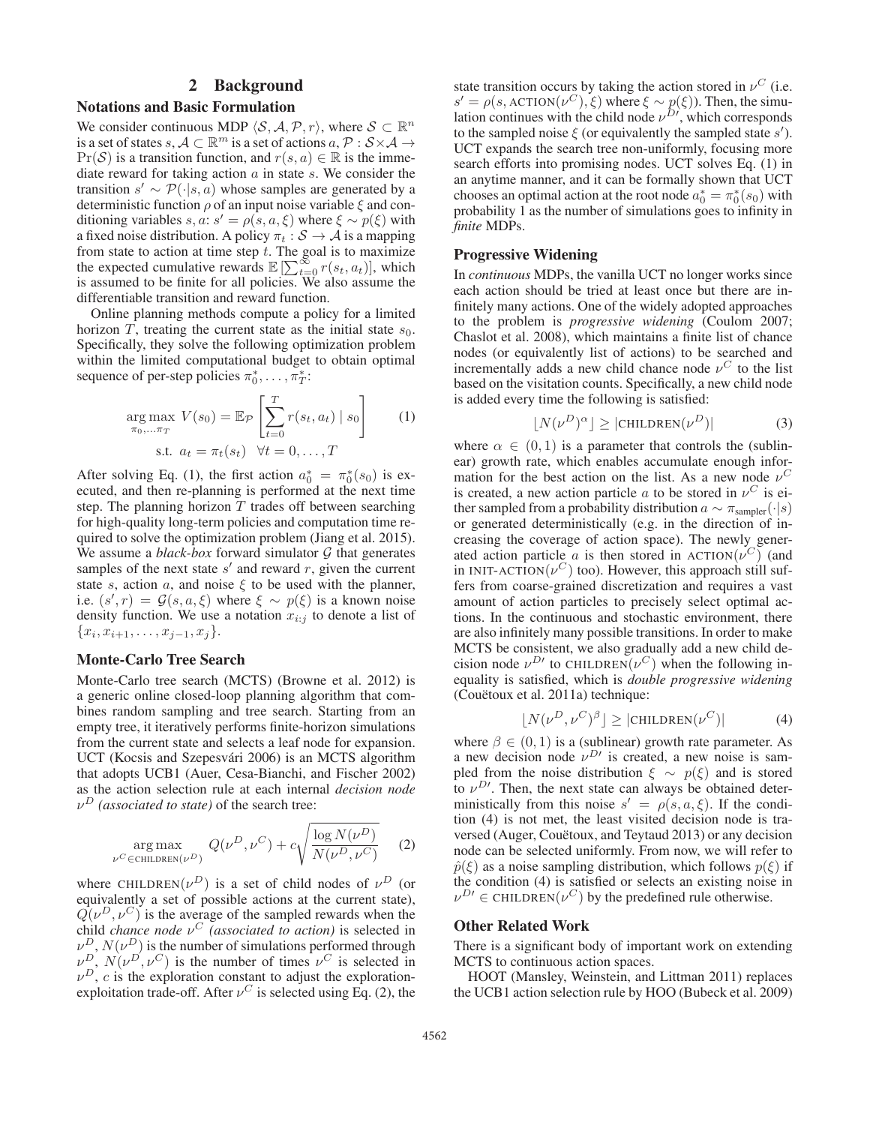# 2 Background

#### Notations and Basic Formulation

We consider continuous MDP  $\langle S, A, P, r \rangle$ , where  $S \subset \mathbb{R}^n$ is a set of states s,  $A \subset \mathbb{R}^m$  is a set of actions  $a, \mathcal{P}: \mathcal{S} \times \mathcal{A} \rightarrow$  $Pr(S)$  is a transition function, and  $r(s, a) \in \mathbb{R}$  is the immediate reward for taking action  $\alpha$  in state  $s$ . We consider the transition  $s' \sim \mathcal{P}(\cdot | s, a)$  whose samples are generated by a deterministic function  $\rho$  of an input noise variable  $\xi$  and conditioning variables  $s, a: s' = \rho(s, a, \xi)$  where  $\xi \sim p(\xi)$  with a fixed noise distribution. A policy  $\pi_t : \mathcal{S} \to \mathcal{A}$  is a mapping from state to action at time step  $t$ . The goal is to maximize the expected cumulative rewards  $\mathbb{E} \left[ \sum_{t=0}^{\infty} r(s_t, a_t) \right]$ , which is assumed to be finite for all policies. We also assume the differentiable transition and reward function.

Online planning methods compute a policy for a limited horizon T, treating the current state as the initial state  $s_0$ . Specifically, they solve the following optimization problem within the limited computational budget to obtain optimal sequence of per-step policies  $\pi_0^*, \ldots, \pi_T^*$ :

$$
\underset{\pi_0,\ldots,\pi_T}{\arg\max} V(s_0) = \mathbb{E}_{\mathcal{P}} \left[ \sum_{t=0}^T r(s_t, a_t) \mid s_0 \right] \qquad (1)
$$
  
s.t.  $a_t = \pi_t(s_t) \quad \forall t = 0,\ldots,T$ 

After solving Eq. (1), the first action  $a_0^* = \pi_0^*(s_0)$  is executed, and then re-planning is performed at the next time step. The planning horizon  $T$  trades off between searching for high-quality long-term policies and computation time required to solve the optimization problem (Jiang et al. 2015). We assume a *black-box* forward simulator  $G$  that generates samples of the next state  $s'$  and reward  $r$ , given the current state s, action a, and noise  $\xi$  to be used with the planner, i.e.  $(s', r) = \mathcal{G}(s, a, \xi)$  where  $\xi \sim p(\xi)$  is a known noise density function. We use a notation  $x_{i:j}$  to denote a list of  ${x_i, x_{i+1}, \ldots, x_{j-1}, x_j}.$ 

# Monte-Carlo Tree Search

Monte-Carlo tree search (MCTS) (Browne et al. 2012) is a generic online closed-loop planning algorithm that combines random sampling and tree search. Starting from an empty tree, it iteratively performs finite-horizon simulations from the current state and selects a leaf node for expansion. UCT (Kocsis and Szepesvári 2006) is an MCTS algorithm that adopts UCB1 (Auer, Cesa-Bianchi, and Fischer 2002) as the action selection rule at each internal *decision node*  $\nu^D$  *(associated to state)* of the search tree:

$$
\underset{\nu^{C} \in \text{CHILDREN}(\nu^{D})}{\arg \max} Q(\nu^{D}, \nu^{C}) + c \sqrt{\frac{\log N(\nu^{D})}{N(\nu^{D}, \nu^{C})}} \quad (2)
$$

where CHILDREN $(\nu^D)$  is a set of child nodes of  $\nu^D$  (or equivalently a set of possible actions at the current state),  $Q(\nu^D, \nu^C)$  is the average of the sampled rewards when the child *chance node*  $v^C$  *(associated to action)* is selected in  $v_{\rm p}^D$ ,  $N(\nu^D)$  is the number of simulations performed through  $\nu_{\rho}^{D}$ ,  $N(\nu^{D}, \nu^{C})$  is the number of times  $\nu^{C}$  is selected in  $\nu^D$ , c is the exploration constant to adjust the explorationexploitation trade-off. After  $\nu^C$  is selected using Eq. (2), the state transition occurs by taking the action stored in  $\nu^C$  (i.e.  $s' = \rho(s, \text{ACTION}(\nu^C), \xi)$  where  $\xi \sim p(\xi)$ ). Then, the simulation continues with the child node  $\nu^{D}$ , which corresponds to the sampled noise  $\xi$  (or equivalently the sampled state s'). UCT expands the search tree non-uniformly, focusing more search efforts into promising nodes. UCT solves Eq. (1) in an anytime manner, and it can be formally shown that UCT chooses an optimal action at the root node  $a_0^* = \pi_0^*(s_0)$  with probability 1 as the number of simulations goes to infinity in *finite* MDPs.

### Progressive Widening

In *continuous* MDPs, the vanilla UCT no longer works since each action should be tried at least once but there are infinitely many actions. One of the widely adopted approaches to the problem is *progressive widening* (Coulom 2007; Chaslot et al. 2008), which maintains a finite list of chance nodes (or equivalently list of actions) to be searched and incrementally adds a new child chance node  $\nu^C$  to the list based on the visitation counts. Specifically, a new child node is added every time the following is satisfied:

$$
\lfloor N(\nu^D)^{\alpha} \rfloor \ge |\text{CHILDREN}(\nu^D)| \tag{3}
$$

where  $\alpha \in (0,1)$  is a parameter that controls the (sublinear) growth rate, which enables accumulate enough information for the best action on the list. As a new node  $\nu^C$ is created, a new action particle a to be stored in  $\nu^C$  is either sampled from a probability distribution  $a \sim \pi_{\text{sampler}}(\cdot|s)$ or generated deterministically (e.g. in the direction of increasing the coverage of action space). The newly generated action particle a is then stored in  $\text{ACTION}(\nu^C)$  (and in INIT-ACTION( $\nu^C$ ) too). However, this approach still suffers from coarse-grained discretization and requires a vast amount of action particles to precisely select optimal actions. In the continuous and stochastic environment, there are also infinitely many possible transitions. In order to make MCTS be consistent, we also gradually add a new child decision node  $\nu^{D}$  to CHILDREN $(\nu^C)$  when the following inequality is satisfied, which is *double progressive widening* (Couëtoux et al. 2011a) technique:

$$
\lfloor N(\nu^D, \nu^C)^\beta \rfloor \ge |\text{CHILDREN}(\nu^C)| \tag{4}
$$

where  $\beta \in (0, 1)$  is a (sublinear) growth rate parameter. As a new decision node  $\nu^{D}$  is created, a new noise is sampled from the noise distribution  $\xi \sim p(\xi)$  and is stored to  $\nu^{D}$ . Then, the next state can always be obtained deterministically from this noise  $s' = \rho(s, a, \xi)$ . If the condition (4) is not met, the least visited decision node is traversed (Auger, Couëtoux, and Teytaud 2013) or any decision node can be selected uniformly. From now, we will refer to  $\hat{p}(\xi)$  as a noise sampling distribution, which follows  $p(\xi)$  if the condition (4) is satisfied or selects an existing noise in  $\nu^{D}$   $\in$  CHILDREN $(\nu^C)$  by the predefined rule otherwise.

### Other Related Work

There is a significant body of important work on extending MCTS to continuous action spaces.

HOOT (Mansley, Weinstein, and Littman 2011) replaces the UCB1 action selection rule by HOO (Bubeck et al. 2009)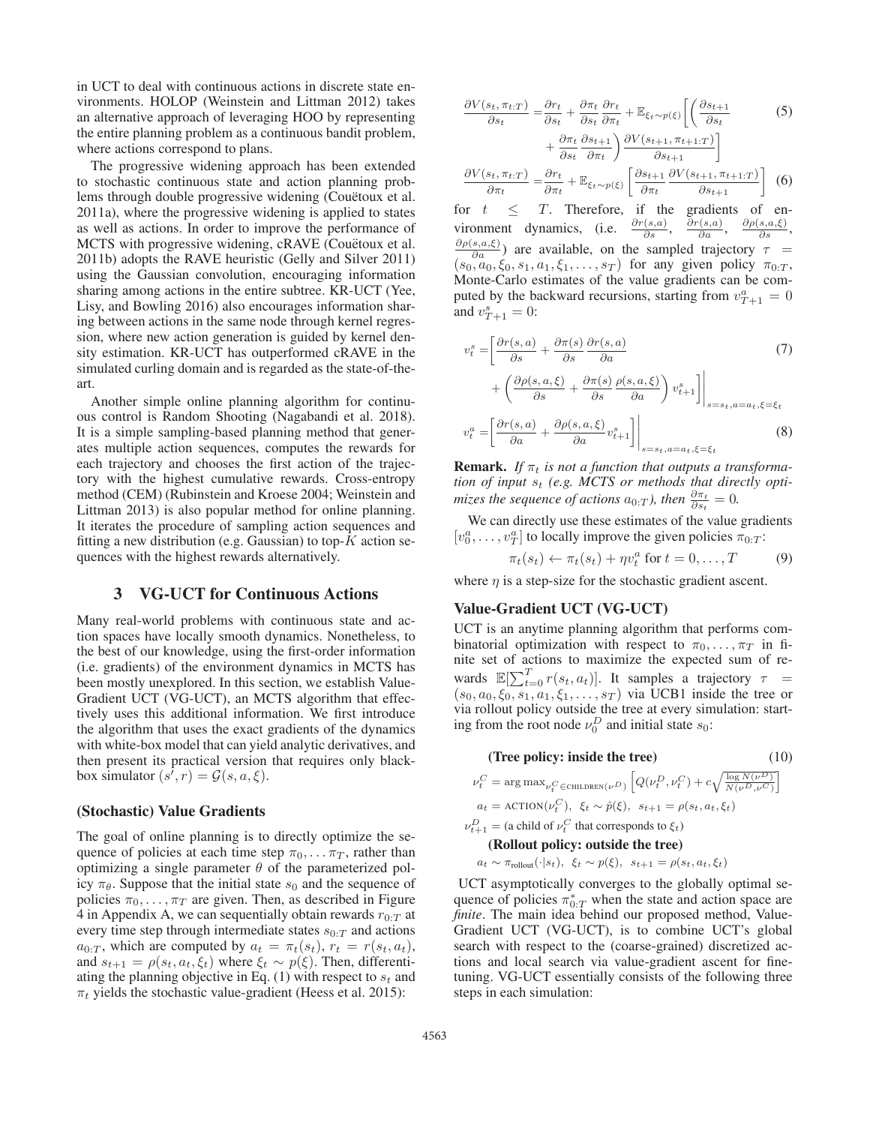in UCT to deal with continuous actions in discrete state environments. HOLOP (Weinstein and Littman 2012) takes an alternative approach of leveraging HOO by representing the entire planning problem as a continuous bandit problem, where actions correspond to plans.

The progressive widening approach has been extended to stochastic continuous state and action planning problems through double progressive widening (Couetoux et al. 2011a), where the progressive widening is applied to states as well as actions. In order to improve the performance of MCTS with progressive widening, cRAVE (Couetoux et al. 2011b) adopts the RAVE heuristic (Gelly and Silver 2011) using the Gaussian convolution, encouraging information sharing among actions in the entire subtree. KR-UCT (Yee, Lisy, and Bowling 2016) also encourages information sharing between actions in the same node through kernel regression, where new action generation is guided by kernel density estimation. KR-UCT has outperformed cRAVE in the simulated curling domain and is regarded as the state-of-theart.

Another simple online planning algorithm for continuous control is Random Shooting (Nagabandi et al. 2018). It is a simple sampling-based planning method that generates multiple action sequences, computes the rewards for each trajectory and chooses the first action of the trajectory with the highest cumulative rewards. Cross-entropy method (CEM) (Rubinstein and Kroese 2004; Weinstein and Littman 2013) is also popular method for online planning. It iterates the procedure of sampling action sequences and fitting a new distribution (e.g. Gaussian) to top- $K$  action sequences with the highest rewards alternatively.

# 3 VG-UCT for Continuous Actions

Many real-world problems with continuous state and action spaces have locally smooth dynamics. Nonetheless, to the best of our knowledge, using the first-order information (i.e. gradients) of the environment dynamics in MCTS has been mostly unexplored. In this section, we establish Value-Gradient UCT (VG-UCT), an MCTS algorithm that effectively uses this additional information. We first introduce the algorithm that uses the exact gradients of the dynamics with white-box model that can yield analytic derivatives, and then present its practical version that requires only blackbox simulator  $(s^{\prime}, r) = \mathcal{G}(s, a, \xi)$ .

# (Stochastic) Value Gradients

The goal of online planning is to directly optimize the sequence of policies at each time step  $\pi_0, \ldots, \pi_T$ , rather than optimizing a single parameter  $\theta$  of the parameterized policy  $\pi_{\theta}$ . Suppose that the initial state  $s_0$  and the sequence of policies  $\pi_0, \ldots, \pi_T$  are given. Then, as described in Figure 4 in Appendix A, we can sequentially obtain rewards  $r_{0:T}$  at every time step through intermediate states  $s_{0:T}$  and actions  $a_{0:T}$ , which are computed by  $a_t = \pi_t(s_t)$ ,  $r_t = r(s_t, a_t)$ , and  $s_{t+1} = \rho(s_t, a_t, \xi_t)$  where  $\xi_t \sim p(\xi)$ . Then, differentiating the planning objective in Eq. (1) with respect to  $s_t$  and  $\pi_t$  yields the stochastic value-gradient (Heess et al. 2015):

$$
\frac{\partial V(s_t, \pi_{t:T})}{\partial s_t} = \frac{\partial r_t}{\partial s_t} + \frac{\partial \pi_t}{\partial s_t} \frac{\partial r_t}{\partial \pi_t} + \mathbb{E}_{\xi_t \sim p(\xi)} \left[ \left( \frac{\partial s_{t+1}}{\partial s_t} \right) + \frac{\partial \pi_t}{\partial s_t} \frac{\partial s_{t+1}}{\partial \pi_t} \right) \frac{\partial V(s_{t+1}, \pi_{t+1:T})}{\partial s_{t+1}} \right]
$$
\n
$$
\frac{\partial V(s_t, \pi_{t:T})}{\partial \pi_t} = \frac{\partial r_t}{\partial \pi_t} + \mathbb{E}_{\xi_t \sim p(\xi)} \left[ \frac{\partial s_{t+1}}{\partial \pi_t} \frac{\partial V(s_{t+1}, \pi_{t+1:T})}{\partial s_{t+1}} \right] \tag{6}
$$

for  $t \leq T$ . Therefore, if the gradients of environment dynamics, (i.e.  $\frac{\partial r(s,a)}{\partial s}$ ,  $\frac{\partial r(s,a)}{\partial a}$ ,  $\frac{\partial \rho(s,a,\xi)}{\partial s}$ , vironment dynamics, (i.e.  $\frac{\partial r(s,a)}{\partial s}$ , vironment dynamics, (i.e.  $\frac{\partial r(s,a)}{\partial s}$ ,  $\frac{\partial r(s,a)}{\partial a}$ ,  $\frac{\partial \rho(s,a,\xi)}{\partial s}$ ,  $\frac{\partial \rho(s,a,\xi)}{\partial s}$ ) are available, on the sampled trajectory  $\tau =$  $\frac{s,a,\xi)}{\partial a}$  are available, on the sampled trajectory  $\tau =$  $(s_0, a_0, \xi_0, s_1, a_1, \xi_1, \ldots, s_T)$  for any given policy  $\pi_{0:T}$ , Monte-Carlo estimates of the value gradients can be computed by the backward recursions, starting from  $v_{T+1}^a = 0$ <br>and  $v_{T+2}^a = 0$ . and  $v_{T+1}^s = 0$ :

$$
v_t^s = \left[ \frac{\partial r(s, a)}{\partial s} + \frac{\partial \pi(s)}{\partial s} \frac{\partial r(s, a)}{\partial a} + \left( \frac{\partial \rho(s, a, \xi)}{\partial s} + \frac{\partial \pi(s)}{\partial s} \frac{\rho(s, a, \xi)}{\partial a} \right) v_{t+1}^s \right] \Big|_{s=s_t, a=a_t, \xi=\xi_t}
$$
  

$$
v_t^a = \left[ \frac{\partial r(s, a)}{\partial a} + \frac{\partial \rho(s, a, \xi)}{\partial a} v_{t+1}^s \right] \Big|_{s=s_t, a=a_t, \xi=\xi_t}
$$
(8)

**Remark.** If  $\pi_t$  is not a function that outputs a transforma*tion of input*  $s_t$  (e.g. MCTS or methods that directly opti*mizes the sequence of actions*  $a_{0:T}$ *), then*  $\frac{\partial \pi_t}{\partial s_t} = 0$ .

We can directly use these estimates of the value gradients  $[v_0^a, \ldots, v_T^a]$  to locally improve the given policies  $\pi_{0:T}$ :

$$
\pi_t(s_t) \leftarrow \pi_t(s_t) + \eta v_t^a \text{ for } t = 0, \dots, T \tag{9}
$$

where  $\eta$  is a step-size for the stochastic gradient ascent.

# Value-Gradient UCT (VG-UCT)

UCT is an anytime planning algorithm that performs combinatorial optimization with respect to  $\pi_0, \ldots, \pi_T$  in finite set of actions to maximize the expected sum of rewards  $\mathbb{E}[\sum_{t=0}^{T} r(s_t, a_t)].$  It samples a trajectory  $\tau =$ <br>(so  $a_0, \xi_0, s_1, a_1, \xi_1, s_T$ ) via UCB1 inside the tree or  $(s_0, a_0, \xi_0, s_1, a_1, \xi_1, \ldots, s_T)$  via UCB1 inside the tree or via rollout policy outside the tree at every simulation: starting from the root node  $\nu_0^D$  and initial state  $s_0$ :

(10)  
\n
$$
\nu_t^C = \arg \max_{\nu_t^C \in \text{CHILDREN}(\nu^D)} \left[ Q(\nu_t^D, \nu_t^C) + c \sqrt{\frac{\log N(\nu^D)}{N(\nu^D, \nu^C)}} \right]
$$
\n
$$
a_t = \text{ACTION}(\nu_t^C), \ \xi_t \sim \hat{p}(\xi), \ s_{t+1} = \rho(s_t, a_t, \xi_t)
$$
\n
$$
a_{t+1} = \text{(a child of } \nu_t^C \text{ that corresponds to } \xi_t)
$$
\n(Rollout policy: outside the tree)

# $a_t \sim \pi_{\text{rollout}}(\cdot | s_t), \xi_t \sim p(\xi), s_{t+1} = \rho(s_t, a_t, \xi_t)$

UCT asymptotically converges to the globally optimal sequence of policies  $\pi_{0:T}^*$  when the state and action space are *finite*. The main idea behind our proposed method. Value*finite*. The main idea behind our proposed method, Value-Gradient UCT (VG-UCT), is to combine UCT's global search with respect to the (coarse-grained) discretized actions and local search via value-gradient ascent for finetuning. VG-UCT essentially consists of the following three steps in each simulation:

ν<sup>D</sup>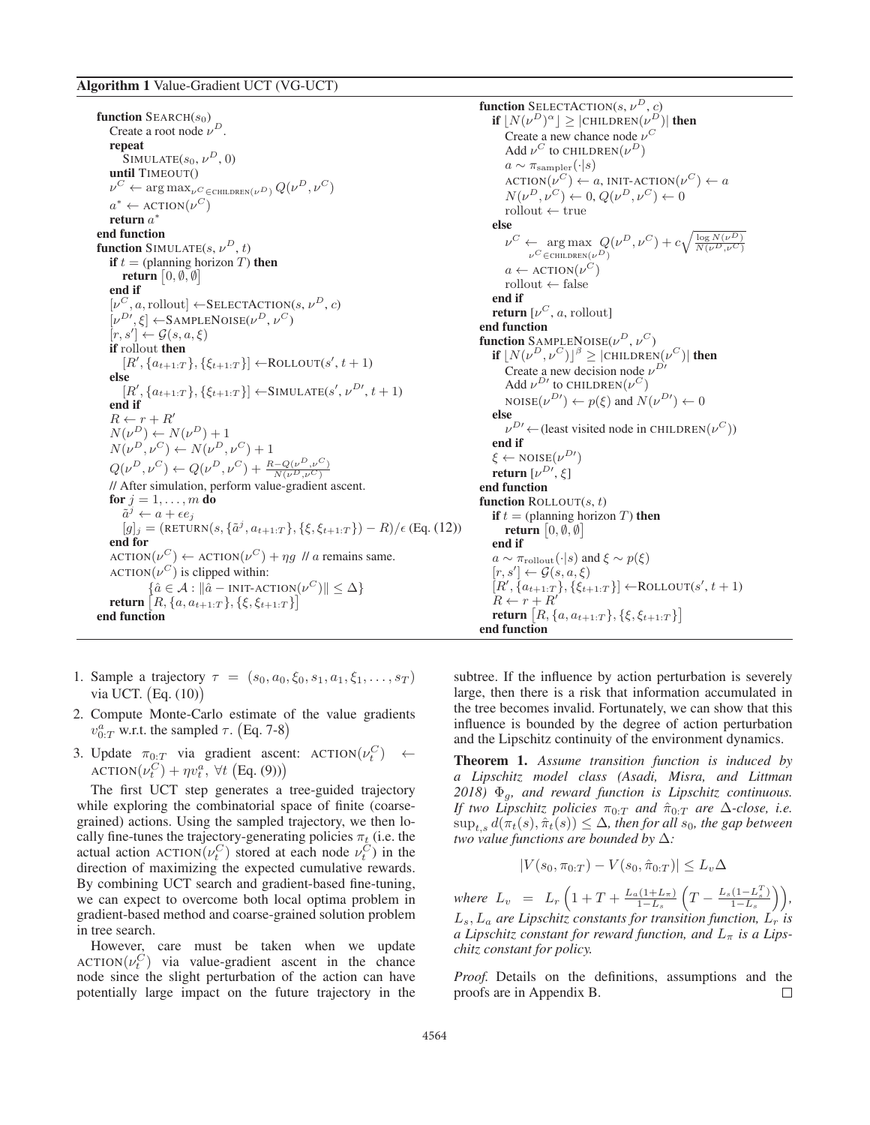function  $\text{SEARCH}(s_0)$ Create a root node  $\nu^D$ . repeat SIMULATE $(s_0, \nu^D, 0)$ until TIMEOUT()  $\nu^{\scriptscriptstyle C} \leftarrow \arg\max\nolimits_{\nu^{\scriptscriptstyle C} \in \text{CHILDREN}(\nu^{\scriptscriptstyle D})} Q(\nu^{\scriptscriptstyle D},\nu^{\scriptscriptstyle C})$  $a^* \leftarrow$  ACTION $(\nu^C)$ <br>**return**  $a^*$ return  $a^*$ <br>end function function SIMULATE $(s, \nu^D, t)$ if  $t =$  (planning horizon T) then return  $\left[0, \emptyset, \emptyset\right]$ d if end if  $[\nu^C, a,$  rollout]  $\leftarrow$  SELECTACTION(s,  $\nu^D, c$ )  $[\nu^{D'},\xi] \leftarrow$ SAMPLENOISE $(\nu^D, \nu^C)$ <br> $[r, s'] \leftarrow G(s, a, \xi)$  $[r, s'] \leftarrow \mathcal{G}(s, a, \xi)$ <br>if rollout then if rollout then  $[R', \{a_{t+1:T}\}, \{\xi_{t+1:T}\}] \leftarrow \text{ROLLOUT}(s', t+1)$ else  $[R', \{a_{t+1:T}\}, \{\xi_{t+1:T}\}] \leftarrow \text{SIMULATE}(s', \nu^{D'}, t + 1)$ <br>d if end if  $R \leftarrow r + R'$  $R \leftarrow r + R'$ <br> $N(\nu^D) \leftarrow N$  $N(\nu^D) \leftarrow N(\nu^D) + 1$ <br> $N(\nu^D, \nu^C) \leftarrow N(\nu^D)$  $N(\nu^D, \nu^C) \leftarrow N(\nu^D, \nu^C) + 1$  $Q(\nu^D, \nu^C) \leftarrow Q(\nu^D, \nu^C) + \frac{R - Q(\nu^D, \nu^C)}{N(\nu^D, \nu^C)}$  $\mathbb{Q}(v^+, v^-) \leftarrow \mathbb{Q}(v^-, v^-) + \frac{\overline{N(v^D, v^C)}}{\overline{N(v^D, v^C)}}$ <br>
// After simulation, perform value-gradient ascent. for  $j = 1, \ldots, m$  do  $\tilde{a}^j \leftarrow a + \epsilon e_j$  $[g]_j = (RETURN(s, {\tilde{a}}^j, a_{t+1:T}), {\xi, \xi_{t+1:T}}) - R)/\epsilon$  (Eq. (12)) end for  $\text{ACTION}(\nu^C) \leftarrow \text{ACTION}(\nu^C) + \eta g \text{ // } a \text{ remains same.}$  $\text{ACTION}(\nu^C)$  is clipped within:  $\{\hat{a} \in \mathcal{A} : \|\hat{a} - \text{INIT-ACTION}(\nu^C)\| \leq \Delta\}$ return  $\left[ R, \{a, a_{t+1:T}\}, \{\xi, \xi_{t+1:T}\} \right]$ <br>d function end function

**function** SELECTACTION(s,  $\nu^D$ , c)<br> **if**  $|N(\nu^D)^{\alpha}| > |CHILDERN(\nu^D)^{\alpha}|$ **if**  $\lfloor N(\nu^D)^{\alpha} \rfloor \geq |\text{CHILDREN}(\nu^D)|$  **then**<br>Create a new chance node  $\nu^C$ Create a new chance node  $\nu^C$ Add  $\nu^C$  to CHILDREN $(\nu^D)$  $a \sim \pi_{\text{sampler}}(\cdot | s)$  $\text{ACTION}(\nu^C) \leftarrow a, \text{INIT-ACTION}(\nu^C) \leftarrow a$  $N(\nu^D, \nu^C) \leftarrow 0, Q(\nu^D, \nu^C) \leftarrow 0$  $rollout \leftarrow true$ else  $\nu^C \leftarrow \arg \max_{\nu^C \in \text{CHILDER}(v^D)} Q(\nu^D, \nu^C) + c \sqrt{\frac{\log N(\nu^D)}{N(\nu^D, \nu^C)}}$  $a \leftarrow$  ACTION $(\nu^C)$  $rollout \leftarrow false$ end if return  $[\nu^C, a,$  rollout] end function function  $S$ <sup>AMPLENOISE( $\nu^D$ ,  $\nu^C$ )</sup> if  $|N(\nu^D, \nu^C)|^{\beta} \geq |\text{CHILDREN}(\nu^C)|$  then Create a new decision node  $\nu^{D}$ Add  $\nu^{D}$  to CHILDREN $(\nu^C)$ NOISE $(\nu^{D\prime}) \leftarrow p(\xi)$  and  $N(\nu^{D\prime}) \leftarrow 0$ else  $\nu^{D'} \leftarrow$  (least visited node in CHILDREN $(\nu^C)$ )<br>d if end if  $\xi \leftarrow \text{NOISE}(\nu^{D'})$ <br>return  $\lceil \nu^{D'} \rceil$ return  $[\nu^{D \prime}, \xi]$ d function end function function ROLLOUT $(s, t)$ if  $t =$  (planning horizon T) then return  $\left[0, \emptyset, \emptyset\right]$ d if end if  $a \sim \pi_{\text{rollout}}(\cdot | s)$  and  $\xi \sim p(\xi)$  $[r, s'] \leftarrow \mathcal{G}(s, a, \xi)$ <br> $[R' \ \{a_{t+1}, r\} \ \{\xi_{t+1}\}$  $[R', \{a_{t+1:T}\}, \{\xi_{t+1:T}\}] \leftarrow \text{ROLLOUT}(s', t+1)$ <br>  $B \leftarrow r + B'$  $R \leftarrow r + R'$ return  $[R, \{a, a_{t+1:T}\}, \{\xi, \xi_{t+1:T}\}]$ end function

- 1. Sample a trajectory  $\tau = (s_0, a_0, \xi_0, s_1, a_1, \xi_1, \ldots, s_T)$ via UCT. Eq. (10)
- 2. Compute Monte-Carlo estimate of the value gradients  $v_{0:T}^a$  w.r.t. the sampled  $\tau$ . (Eq. 7-8)
- 3. Update  $\pi_{0:T}$  via gradient ascent: ACTION $(\nu_c^C)$   $\leftarrow$  ACTION $(\nu_c^C)$  +  $\omega_c^a$   $\forall t$  (Eq. (0))) ACTION $(\nu_t^C) + \eta v_t^a$ ,  $\forall t$  (Eq. (9)))

The first UCT step generates a tree-guided trajectory while exploring the combinatorial space of finite (coarsegrained) actions. Using the sampled trajectory, we then locally fine-tunes the trajectory-generating policies  $\pi_t$  (i.e. the actual action  $\Delta \text{CTION}(v_t^C)$  stored at each node  $v_t^C$ ) in the direction of maximizing the expected cumulative rewards direction of maximizing the expected cumulative rewards. By combining UCT search and gradient-based fine-tuning, we can expect to overcome both local optima problem in gradient-based method and coarse-grained solution problem in tree search.

However, care must be taken when we update ACTION $(\nu_c^C)$  via value-gradient ascent in the chance<br>node since the slight perturbation of the action can have node since the slight perturbation of the action can have potentially large impact on the future trajectory in the

subtree. If the influence by action perturbation is severely large, then there is a risk that information accumulated in the tree becomes invalid. Fortunately, we can show that this influence is bounded by the degree of action perturbation and the Lipschitz continuity of the environment dynamics.

Theorem 1. *Assume transition function is induced by a Lipschitz model class (Asadi, Misra, and Littman 2018)* <sup>Φ</sup>g*, and reward function is Lipschitz continuous. If two Lipschitz policies*  $\pi_{0:T}$  *and*  $\hat{\pi}_{0:T}$  *are*  $\Delta$ *-close, i.e.*  $\sup_{t,s} d(\pi_t(s), \hat{\pi}_t(s)) \leq \Delta$ , then for all s<sub>0</sub>, the gap between two value functions are bounded by  $\Delta$ . *two value functions are bounded by* Δ*:*

$$
|V(s_0, \pi_{0:T}) - V(s_0, \hat{\pi}_{0:T})| \le L_v \Delta
$$

*where*  $L_v = L_r \left( 1 + T + \frac{L_a (1 + L_\pi)}{1 - L_s} \right)$  $1-L_s$  $\left(T - \frac{L_s(1 - L_s^T)}{1 - L_s}\right)$  $1-L_s$  *,*  $L_s$ ,  $L_a$  are Lipschitz constants for transition function,  $L_r$  is<br>a Lipschitz constant for reward function, and L, is a Lips. *a Lipschitz constant for reward function, and*  $L_{\pi}$  *is a Lipschitz constant for policy.*

*Proof.* Details on the definitions, assumptions and the proofs are in Appendix B.  $\Box$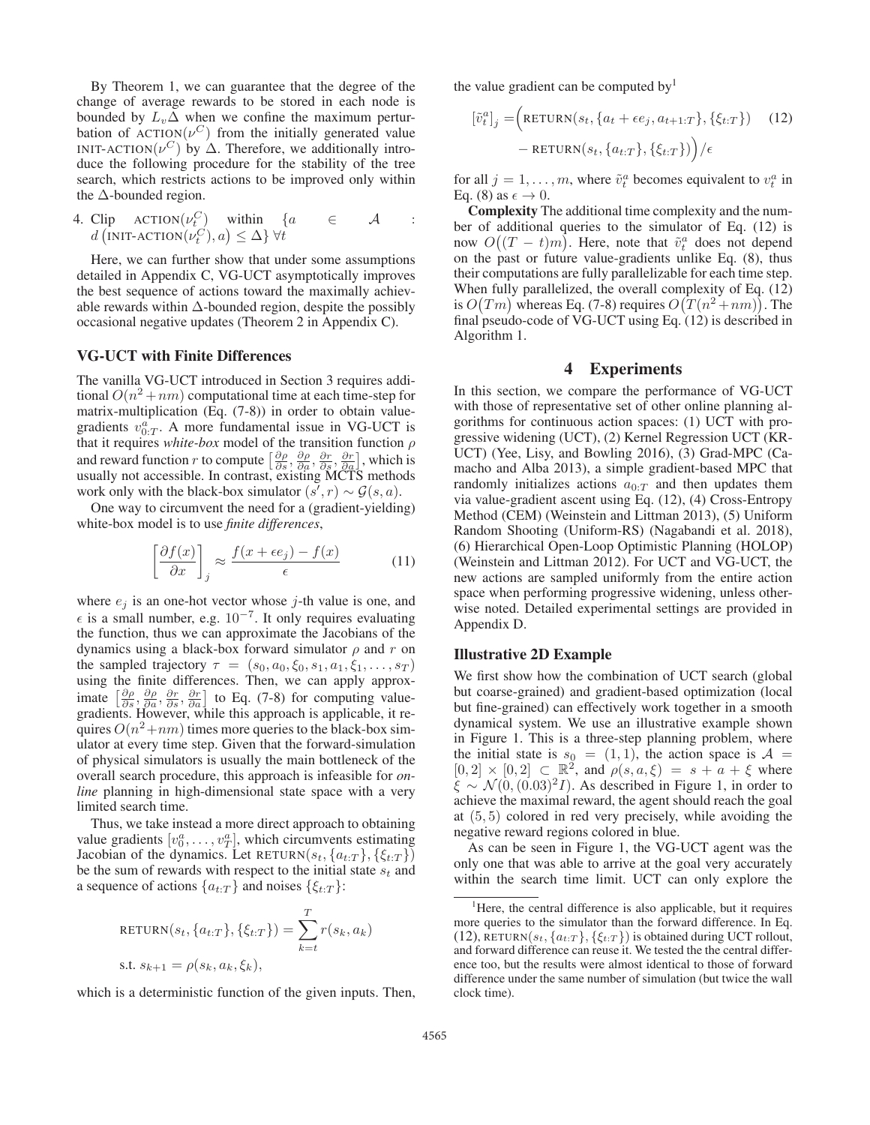By Theorem 1, we can guarantee that the degree of the change of average rewards to be stored in each node is bounded by  $L_v \Delta$  when we confine the maximum perturbation of  $\text{ACTION}(\nu^C)$  from the initially generated value INIT-ACTION( $\nu^C$ ) by  $\Delta$ . Therefore, we additionally introduce the following procedure for the stability of the tree search, which restricts actions to be improved only within the  $\Delta$ -bounded region.

4. Clip ACTION
$$
(\nu_t^C)
$$
 within  $\{a \in A$  :  
\n $d \left( \text{INIT-ACTION}(\nu_t^C), a \right) \leq \Delta \} \ \forall t$ 

Here, we can further show that under some assumptions detailed in Appendix C, VG-UCT asymptotically improves the best sequence of actions toward the maximally achievable rewards within  $\Delta$ -bounded region, despite the possibly occasional negative updates (Theorem 2 in Appendix C).

### VG-UCT with Finite Differences

The vanilla VG-UCT introduced in Section 3 requires additional  $O(n^2 + nm)$  computational time at each time-step for matrix-multiplication (Eq. (7-8)) in order to obtain valuegradients  $v_{0:T}^a$ . A more fundamental issue in VG-UCT is<br>that it requires white-box model of the transition function a that it requires *white-box* model of the transition function ρ and reward function r to compute  $\left[\frac{\partial \rho}{\partial s}, \frac{\partial \rho}{\partial a}, \frac{\partial r}{\partial s}, \frac{\partial r}{\partial a}\right]$ , which is usually not accessible. In contrast, existing MCTS methods usually not accessible. In contrast, existing MCTS methods work only with the black-box simulator  $(s', r) \sim \mathcal{G}(s, a)$ .

One way to circumvent the need for a (gradient-yielding) white-box model is to use *finite differences*,

$$
\left[\frac{\partial f(x)}{\partial x}\right]_j \approx \frac{f(x + \epsilon e_j) - f(x)}{\epsilon} \tag{11}
$$

where  $e_i$  is an one-hot vector whose j-th value is one, and  $\epsilon$  is a small number, e.g. 10<sup>-7</sup>. It only requires evaluating the function, thus we can approximate the Jacobians of the dynamics using a black-box forward simulator  $\rho$  and r on the sampled trajectory  $\tau = (s_0, a_0, \xi_0, s_1, a_1, \xi_1, \ldots, s_T)$ using the finite differences. Then, we can apply approximate  $\left[\frac{\partial \rho}{\partial s}, \frac{\partial \rho}{\partial a}, \frac{\partial r}{\partial s}, \frac{\partial r}{\partial a}\right]$  to Eq. (7-8) for computing valuegradients. However, while this approach is applicable, it requires  $O(n^2+nm)$  times more queries to the black-box simulator at every time step. Given that the forward-simulation of physical simulators is usually the main bottleneck of the overall search procedure, this approach is infeasible for *online* planning in high-dimensional state space with a very limited search time.

Thus, we take instead a more direct approach to obtaining value gradients  $[v_0^a, \ldots, v_T^a]$ , which circumvents estimating<br>Lacobian of the dynamics Let RETURN( $s_t$ ,  $\{a_{t,T}\}$ ,  $\{f_{t,T}\}$ ) Jacobian of the dynamics. Let RETURN( $s_t$ ,  $\{a_{t:T}\}, \{\xi_{t:T}\}\$ ) be the sum of rewards with respect to the initial state  $s_t$  and a sequence of actions  $\{a_{t:T}\}\$  and noises  $\{\xi_{t:T}\}\$ :

$$
RETURN(s_t, \{a_{t:T}\}, \{\xi_{t:T}\}) = \sum_{k=t}^{T} r(s_k, a_k)
$$
  
s.t.  $s_{k+1} = \rho(s_k, a_k, \xi_k)$ ,

which is a deterministic function of the given inputs. Then,

the value gradient can be computed by<sup>1</sup>

$$
[\tilde{v}_t^a]_j = \left(\text{RETURN}(s_t, \{a_t + \epsilon e_j, a_{t+1:T}\}, \{\xi_{t:T}\})\right)
$$
(12)  
- RETURN $(s_t, \{a_{t:T}\}, \{\xi_{t:T}\})$  $)/\epsilon$ 

for all  $j = 1, ..., m$ , where  $\tilde{v}_t^a$  becomes equivalent to  $v_t^a$  in Eq. (8) as  $\epsilon \to 0$ Eq. (8) as  $\epsilon \to 0$ .

Complexity The additional time complexity and the number of additional queries to the simulator of Eq. (12) is now  $O((T-t)m)$ . Here, note that  $\tilde{v}_t^a$  does not depend<br>on the past or future value-gradients unlike Eq. (8) thus on the past or future value-gradients unlike Eq. (8), thus their computations are fully parallelizable for each time step. When fully parallelized, the overall complexity of Eq. (12) is  $O(Tm)$  whereas Eq. (7-8) requires  $O(T(n^2 + nm))$ . The final pseudo-code of VG-UCT using Eq. (12) is described in Algorithm 1.

# 4 Experiments

In this section, we compare the performance of VG-UCT with those of representative set of other online planning algorithms for continuous action spaces: (1) UCT with progressive widening (UCT), (2) Kernel Regression UCT (KR-UCT) (Yee, Lisy, and Bowling 2016), (3) Grad-MPC (Camacho and Alba 2013), a simple gradient-based MPC that randomly initializes actions  $a_{0:T}$  and then updates them via value-gradient ascent using Eq. (12), (4) Cross-Entropy Method (CEM) (Weinstein and Littman 2013), (5) Uniform Random Shooting (Uniform-RS) (Nagabandi et al. 2018), (6) Hierarchical Open-Loop Optimistic Planning (HOLOP) (Weinstein and Littman 2012). For UCT and VG-UCT, the new actions are sampled uniformly from the entire action space when performing progressive widening, unless otherwise noted. Detailed experimental settings are provided in Appendix D.

### Illustrative 2D Example

We first show how the combination of UCT search (global but coarse-grained) and gradient-based optimization (local but fine-grained) can effectively work together in a smooth dynamical system. We use an illustrative example shown in Figure 1. This is a three-step planning problem, where the initial state is  $s_0 = (1, 1)$ , the action space is  $A =$  $[0, 2] \times [0, 2] \subset \mathbb{R}^2$ , and  $\rho(s, a, \xi) = s + a + \xi$  where  $\xi \sim \mathcal{N}(0,(0.03)^2I)$ . As described in Figure 1, in order to achieve the maximal reward, the agent should reach the goal at (5, 5) colored in red very precisely, while avoiding the negative reward regions colored in blue.

As can be seen in Figure 1, the VG-UCT agent was the only one that was able to arrive at the goal very accurately within the search time limit. UCT can only explore the

<sup>&</sup>lt;sup>1</sup>Here, the central difference is also applicable, but it requires more queries to the simulator than the forward difference. In Eq. (12), RETURN( $s_t$ ,  $\{a_{t:T}\}, \{\xi_{t:T}\}\$ ) is obtained during UCT rollout, and forward difference can reuse it. We tested the the central difference too, but the results were almost identical to those of forward difference under the same number of simulation (but twice the wall clock time).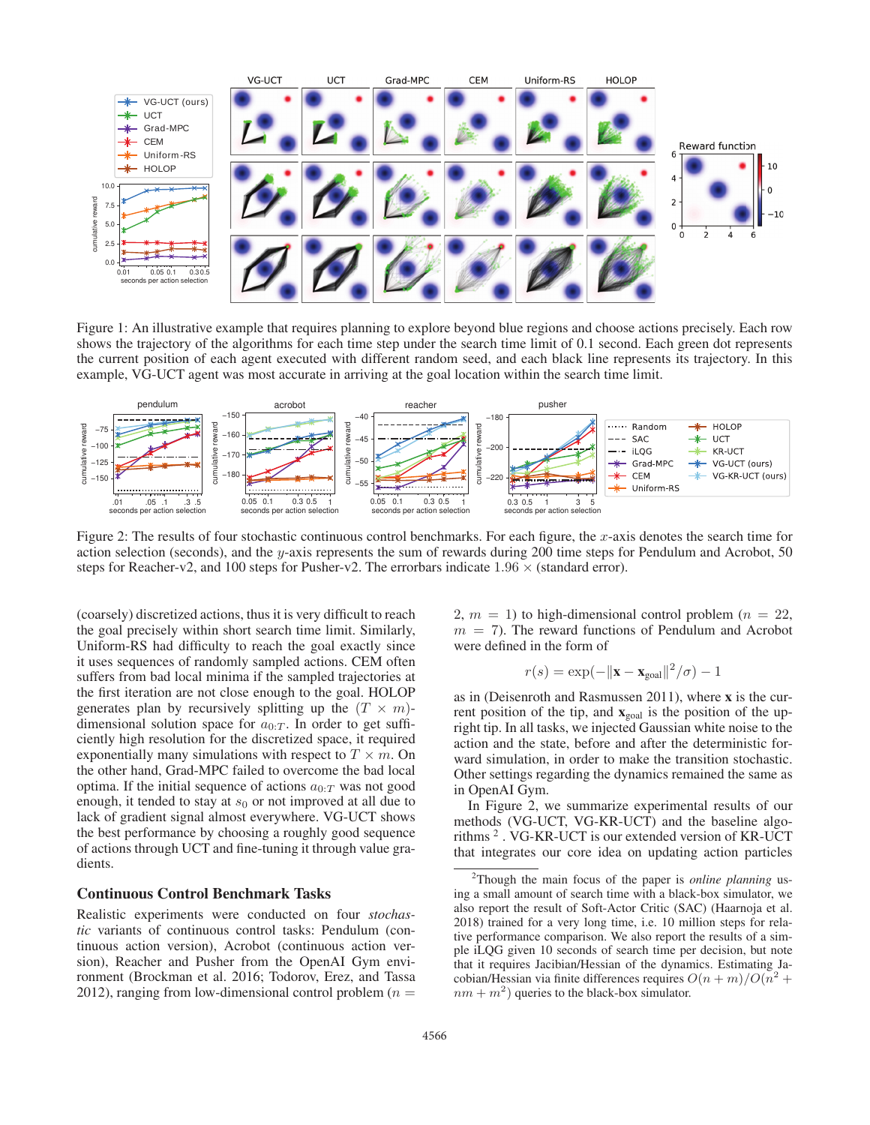

Figure 1: An illustrative example that requires planning to explore beyond blue regions and choose actions precisely. Each row shows the trajectory of the algorithms for each time step under the search time limit of 0.1 second. Each green dot represents the current position of each agent executed with different random seed, and each black line represents its trajectory. In this example, VG-UCT agent was most accurate in arriving at the goal location within the search time limit.



Figure 2: The results of four stochastic continuous control benchmarks. For each figure, the x-axis denotes the search time for action selection (seconds), and the y-axis represents the sum of rewards during 200 time steps for Pendulum and Acrobot, 50 steps for Reacher-v2, and 100 steps for Pusher-v2. The errorbars indicate  $1.96 \times$  (standard error).

(coarsely) discretized actions, thus it is very difficult to reach the goal precisely within short search time limit. Similarly, Uniform-RS had difficulty to reach the goal exactly since it uses sequences of randomly sampled actions. CEM often suffers from bad local minima if the sampled trajectories at the first iteration are not close enough to the goal. HOLOP generates plan by recursively splitting up the  $(T \times m)$ dimensional solution space for  $a_{0:T}$ . In order to get sufficiently high resolution for the discretized space, it required exponentially many simulations with respect to  $T \times m$ . On the other hand, Grad-MPC failed to overcome the bad local optima. If the initial sequence of actions  $a_{0:T}$  was not good enough, it tended to stay at  $s_0$  or not improved at all due to lack of gradient signal almost everywhere. VG-UCT shows the best performance by choosing a roughly good sequence of actions through UCT and fine-tuning it through value gradients.

### Continuous Control Benchmark Tasks

Realistic experiments were conducted on four *stochastic* variants of continuous control tasks: Pendulum (continuous action version), Acrobot (continuous action version), Reacher and Pusher from the OpenAI Gym environment (Brockman et al. 2016; Todorov, Erez, and Tassa 2012), ranging from low-dimensional control problem ( $n =$  2,  $m = 1$ ) to high-dimensional control problem ( $n = 22$ ,  $m = 7$ ). The reward functions of Pendulum and Acrobot were defined in the form of

$$
r(s) = \exp(-\|\mathbf{x} - \mathbf{x}_{\text{goal}}\|^2 / \sigma) - 1
$$

as in (Deisenroth and Rasmussen 2011), where x is the current position of the tip, and  $\mathbf{x}_{goal}$  is the position of the upright tip. In all tasks, we injected Gaussian white noise to the action and the state, before and after the deterministic forward simulation, in order to make the transition stochastic. Other settings regarding the dynamics remained the same as in OpenAI Gym.

In Figure 2, we summarize experimental results of our methods (VG-UCT, VG-KR-UCT) and the baseline algorithms <sup>2</sup> . VG-KR-UCT is our extended version of KR-UCT that integrates our core idea on updating action particles

<sup>2</sup> Though the main focus of the paper is *online planning* using a small amount of search time with a black-box simulator, we also report the result of Soft-Actor Critic (SAC) (Haarnoja et al. 2018) trained for a very long time, i.e. 10 million steps for relative performance comparison. We also report the results of a simple iLQG given 10 seconds of search time per decision, but note that it requires Jacibian/Hessian of the dynamics. Estimating Jacobian/Hessian via finite differences requires  $O(n + m)/O(n^2 +$  $nm + m<sup>2</sup>$  queries to the black-box simulator.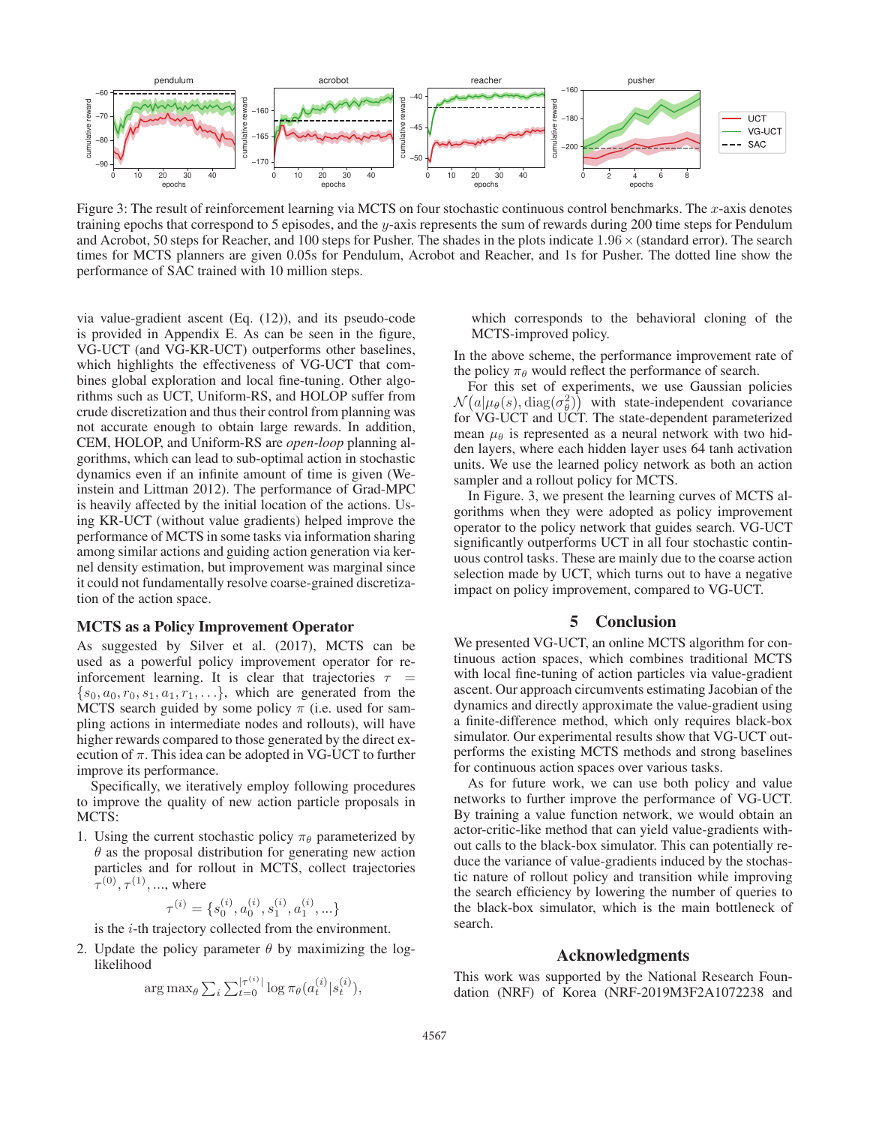

Figure 3: The result of reinforcement learning via MCTS on four stochastic continuous control benchmarks. The  $x$ -axis denotes training epochs that correspond to 5 episodes, and the  $y$ -axis represents the sum of rewards during 200 time steps for Pendulum and Acrobot, 50 steps for Reacher, and 100 steps for Pusher. The shades in the plots indicate  $1.96 \times$  (standard error). The search times for MCTS planners are given 0.05s for Pendulum, Acrobot and Reacher, and 1s for Pusher. The dotted line show the performance of SAC trained with 10 million steps.

via value-gradient ascent (Eq. (12)), and its pseudo-code is provided in Appendix E. As can be seen in the figure, VG-UCT (and VG-KR-UCT) outperforms other baselines, which highlights the effectiveness of VG-UCT that combines global exploration and local fine-tuning. Other algorithms such as UCT, Uniform-RS, and HOLOP suffer from crude discretization and thus their control from planning was not accurate enough to obtain large rewards. In addition, CEM, HOLOP, and Uniform-RS are *open-loop* planning algorithms, which can lead to sub-optimal action in stochastic dynamics even if an infinite amount of time is given (Weinstein and Littman 2012). The performance of Grad-MPC is heavily affected by the initial location of the actions. Using KR-UCT (without value gradients) helped improve the performance of MCTS in some tasks via information sharing among similar actions and guiding action generation via kernel density estimation, but improvement was marginal since it could not fundamentally resolve coarse-grained discretization of the action space.

### MCTS as a Policy Improvement Operator

As suggested by Silver et al. (2017), MCTS can be used as a powerful policy improvement operator for reinforcement learning. It is clear that trajectories  $\tau$  =  $\{s_0, a_0, r_0, s_1, a_1, r_1, \ldots\}$ , which are generated from the MCTS search guided by some policy  $\pi$  (i.e. used for sampling actions in intermediate nodes and rollouts), will have higher rewards compared to those generated by the direct execution of  $\pi$ . This idea can be adopted in VG-UCT to further improve its performance.

Specifically, we iteratively employ following procedures to improve the quality of new action particle proposals in MCTS:

1. Using the current stochastic policy  $\pi_{\theta}$  parameterized by  $\theta$  as the proposal distribution for generating new action particles and for rollout in MCTS, collect trajectories  $\tau^{(0)}, \tau^{(1)}, \dots$ , where

$$
\tau^{(i)} = \{s_0^{(i)}, a_0^{(i)}, s_1^{(i)}, a_1^{(i)}, \ldots\}
$$

is the i-th trajectory collected from the environment.

2. Update the policy parameter  $\theta$  by maximizing the loglikelihood

$$
\arg \max_{\theta} \sum_{i} \sum_{t=0}^{\lvert \tau^{(i)} \rvert} \log \pi_{\theta}(a_t^{(i)} | s_t^{(i)}),
$$

which corresponds to the behavioral cloning of the MCTS-improved policy.

In the above scheme, the performance improvement rate of the policy  $\pi_{\theta}$  would reflect the performance of search.

For this set of experiments, we use Gaussian policies  $\mathcal{N}(a|\mu_{\theta}(s), \text{diag}(\sigma_{\theta}^2))$  with state-independent covariance<br>for VG-UCT and UCT The state-dependent parameterized for VG-UCT and UCT. The state-dependent parameterized mean  $\mu_{\theta}$  is represented as a neural network with two hidden layers, where each hidden layer uses 64 tanh activation units. We use the learned policy network as both an action sampler and a rollout policy for MCTS.

In Figure. 3, we present the learning curves of MCTS algorithms when they were adopted as policy improvement operator to the policy network that guides search. VG-UCT significantly outperforms UCT in all four stochastic continuous control tasks. These are mainly due to the coarse action selection made by UCT, which turns out to have a negative impact on policy improvement, compared to VG-UCT.

### 5 Conclusion

We presented VG-UCT, an online MCTS algorithm for continuous action spaces, which combines traditional MCTS with local fine-tuning of action particles via value-gradient ascent. Our approach circumvents estimating Jacobian of the dynamics and directly approximate the value-gradient using a finite-difference method, which only requires black-box simulator. Our experimental results show that VG-UCT outperforms the existing MCTS methods and strong baselines for continuous action spaces over various tasks.

As for future work, we can use both policy and value networks to further improve the performance of VG-UCT. By training a value function network, we would obtain an actor-critic-like method that can yield value-gradients without calls to the black-box simulator. This can potentially reduce the variance of value-gradients induced by the stochastic nature of rollout policy and transition while improving the search efficiency by lowering the number of queries to the black-box simulator, which is the main bottleneck of search.

#### Acknowledgments

This work was supported by the National Research Foundation (NRF) of Korea (NRF-2019M3F2A1072238 and